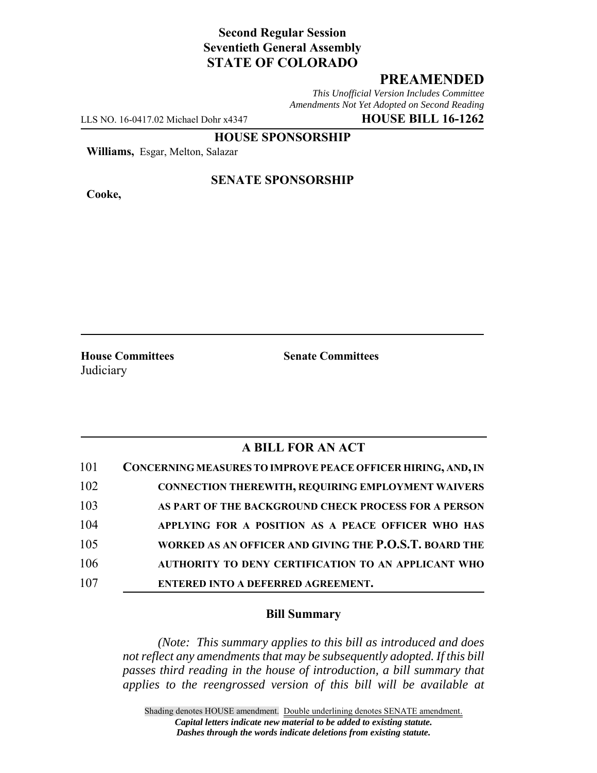## **Second Regular Session Seventieth General Assembly STATE OF COLORADO**

## **PREAMENDED**

*This Unofficial Version Includes Committee Amendments Not Yet Adopted on Second Reading*

LLS NO. 16-0417.02 Michael Dohr x4347 **HOUSE BILL 16-1262**

**HOUSE SPONSORSHIP**

**Williams,** Esgar, Melton, Salazar

**Cooke,**

#### **SENATE SPONSORSHIP**

**House Committees Senate Committees Judiciary** 

# **A BILL FOR AN ACT**

| 101 | CONCERNING MEASURES TO IMPROVE PEACE OFFICER HIRING, AND, IN |
|-----|--------------------------------------------------------------|
| 102 | <b>CONNECTION THEREWITH, REQUIRING EMPLOYMENT WAIVERS</b>    |
| 103 | AS PART OF THE BACKGROUND CHECK PROCESS FOR A PERSON         |
| 104 | APPLYING FOR A POSITION AS A PEACE OFFICER WHO HAS           |
| 105 | WORKED AS AN OFFICER AND GIVING THE P.O.S.T. BOARD THE       |
| 106 | AUTHORITY TO DENY CERTIFICATION TO AN APPLICANT WHO          |
| 107 | ENTERED INTO A DEFERRED AGREEMENT.                           |

### **Bill Summary**

*(Note: This summary applies to this bill as introduced and does not reflect any amendments that may be subsequently adopted. If this bill passes third reading in the house of introduction, a bill summary that applies to the reengrossed version of this bill will be available at*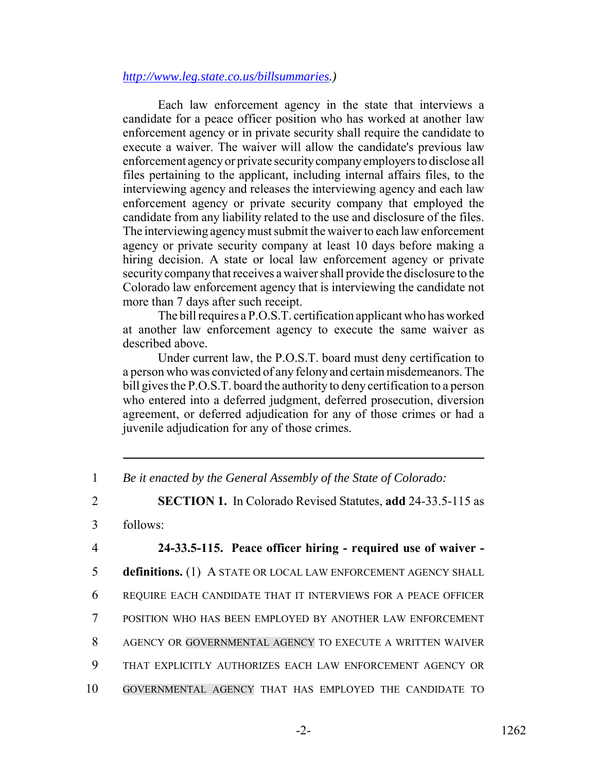#### *http://www.leg.state.co.us/billsummaries.)*

Each law enforcement agency in the state that interviews a candidate for a peace officer position who has worked at another law enforcement agency or in private security shall require the candidate to execute a waiver. The waiver will allow the candidate's previous law enforcement agency or private security company employers to disclose all files pertaining to the applicant, including internal affairs files, to the interviewing agency and releases the interviewing agency and each law enforcement agency or private security company that employed the candidate from any liability related to the use and disclosure of the files. The interviewing agency must submit the waiver to each law enforcement agency or private security company at least 10 days before making a hiring decision. A state or local law enforcement agency or private security company that receives a waiver shall provide the disclosure to the Colorado law enforcement agency that is interviewing the candidate not more than 7 days after such receipt.

The bill requires a P.O.S.T. certification applicant who has worked at another law enforcement agency to execute the same waiver as described above.

Under current law, the P.O.S.T. board must deny certification to a person who was convicted of any felony and certain misdemeanors. The bill gives the P.O.S.T. board the authority to deny certification to a person who entered into a deferred judgment, deferred prosecution, diversion agreement, or deferred adjudication for any of those crimes or had a juvenile adjudication for any of those crimes.

- 1 *Be it enacted by the General Assembly of the State of Colorado:*
- 2 **SECTION 1.** In Colorado Revised Statutes, **add** 24-33.5-115 as
- 3 follows:

4 **24-33.5-115. Peace officer hiring - required use of waiver -**

5 **definitions.** (1) A STATE OR LOCAL LAW ENFORCEMENT AGENCY SHALL

- 6 REQUIRE EACH CANDIDATE THAT IT INTERVIEWS FOR A PEACE OFFICER
- 7 POSITION WHO HAS BEEN EMPLOYED BY ANOTHER LAW ENFORCEMENT
- 8 AGENCY OR GOVERNMENTAL AGENCY TO EXECUTE A WRITTEN WAIVER
- 9 THAT EXPLICITLY AUTHORIZES EACH LAW ENFORCEMENT AGENCY OR
- 10 GOVERNMENTAL AGENCY THAT HAS EMPLOYED THE CANDIDATE TO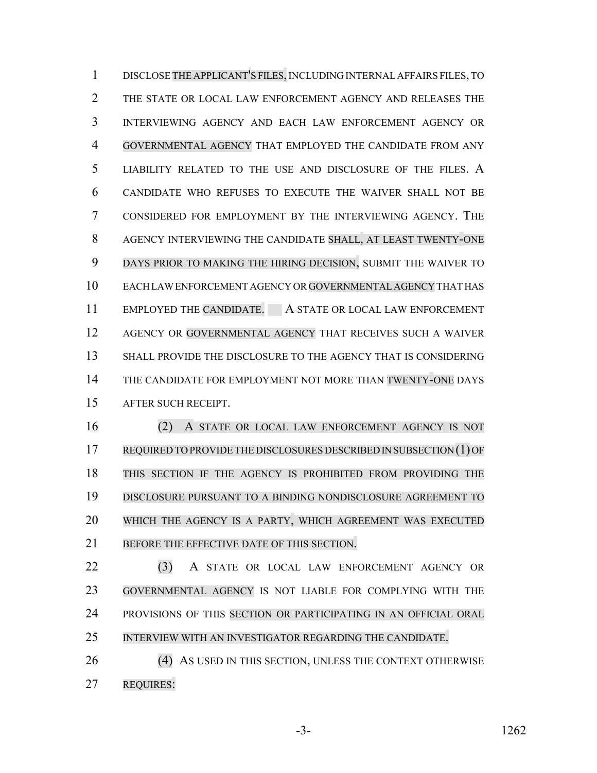DISCLOSE THE APPLICANT'S FILES, INCLUDING INTERNAL AFFAIRS FILES, TO THE STATE OR LOCAL LAW ENFORCEMENT AGENCY AND RELEASES THE INTERVIEWING AGENCY AND EACH LAW ENFORCEMENT AGENCY OR GOVERNMENTAL AGENCY THAT EMPLOYED THE CANDIDATE FROM ANY LIABILITY RELATED TO THE USE AND DISCLOSURE OF THE FILES. A CANDIDATE WHO REFUSES TO EXECUTE THE WAIVER SHALL NOT BE CONSIDERED FOR EMPLOYMENT BY THE INTERVIEWING AGENCY. THE AGENCY INTERVIEWING THE CANDIDATE SHALL, AT LEAST TWENTY-ONE DAYS PRIOR TO MAKING THE HIRING DECISION, SUBMIT THE WAIVER TO EACH LAW ENFORCEMENT AGENCY OR GOVERNMENTAL AGENCY THAT HAS 11 EMPLOYED THE CANDIDATE. A STATE OR LOCAL LAW ENFORCEMENT AGENCY OR GOVERNMENTAL AGENCY THAT RECEIVES SUCH A WAIVER 13 SHALL PROVIDE THE DISCLOSURE TO THE AGENCY THAT IS CONSIDERING 14 THE CANDIDATE FOR EMPLOYMENT NOT MORE THAN TWENTY-ONE DAYS AFTER SUCH RECEIPT.

 (2) A STATE OR LOCAL LAW ENFORCEMENT AGENCY IS NOT REQUIRED TO PROVIDE THE DISCLOSURES DESCRIBED IN SUBSECTION (1) OF THIS SECTION IF THE AGENCY IS PROHIBITED FROM PROVIDING THE DISCLOSURE PURSUANT TO A BINDING NONDISCLOSURE AGREEMENT TO WHICH THE AGENCY IS A PARTY, WHICH AGREEMENT WAS EXECUTED 21 BEFORE THE EFFECTIVE DATE OF THIS SECTION.

 (3) A STATE OR LOCAL LAW ENFORCEMENT AGENCY OR GOVERNMENTAL AGENCY IS NOT LIABLE FOR COMPLYING WITH THE PROVISIONS OF THIS SECTION OR PARTICIPATING IN AN OFFICIAL ORAL INTERVIEW WITH AN INVESTIGATOR REGARDING THE CANDIDATE.

26 (4) AS USED IN THIS SECTION, UNLESS THE CONTEXT OTHERWISE REQUIRES: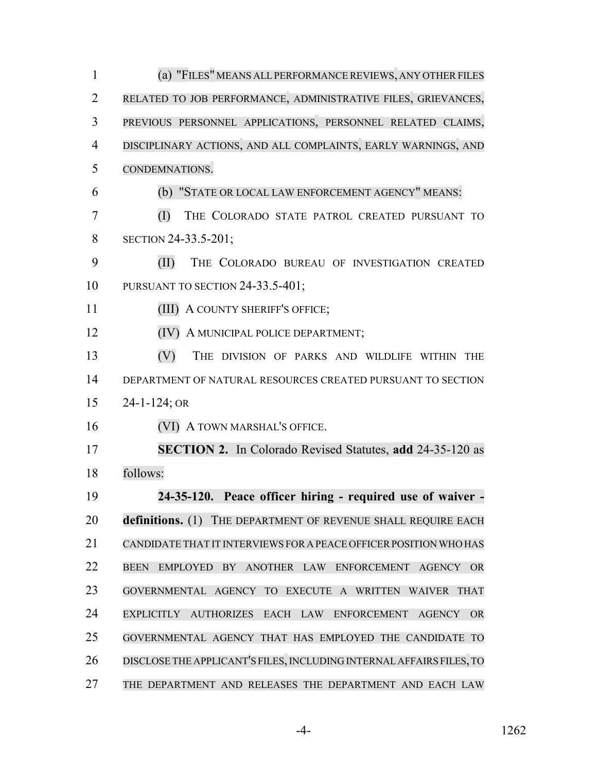| $\mathbf{1}$   | (a) "FILES" MEANS ALL PERFORMANCE REVIEWS, ANY OTHER FILES               |
|----------------|--------------------------------------------------------------------------|
| $\overline{2}$ | RELATED TO JOB PERFORMANCE, ADMINISTRATIVE FILES, GRIEVANCES,            |
| 3              | PREVIOUS PERSONNEL APPLICATIONS, PERSONNEL RELATED CLAIMS,               |
| $\overline{4}$ | DISCIPLINARY ACTIONS, AND ALL COMPLAINTS, EARLY WARNINGS, AND            |
| 5              | CONDEMNATIONS.                                                           |
| 6              | (b) "STATE OR LOCAL LAW ENFORCEMENT AGENCY" MEANS:                       |
| 7              | (I)<br>THE COLORADO STATE PATROL CREATED PURSUANT TO                     |
| 8              | SECTION 24-33.5-201;                                                     |
| 9              | (II)<br>THE COLORADO BUREAU OF INVESTIGATION CREATED                     |
| 10             | PURSUANT TO SECTION 24-33.5-401;                                         |
| 11             | (III) A COUNTY SHERIFF'S OFFICE;                                         |
| 12             | (IV) A MUNICIPAL POLICE DEPARTMENT;                                      |
| 13             | (V)<br>THE DIVISION OF PARKS AND WILDLIFE WITHIN THE                     |
| 14             | DEPARTMENT OF NATURAL RESOURCES CREATED PURSUANT TO SECTION              |
| 15             | $24 - 1 - 124$ ; OR                                                      |
| 16             | (VI) A TOWN MARSHAL'S OFFICE.                                            |
| 17             | <b>SECTION 2.</b> In Colorado Revised Statutes, add 24-35-120 as         |
| 18             | follows:                                                                 |
| 19             | 24-35-120. Peace officer hiring - required use of waiver -               |
| 20             | definitions. (1) THE DEPARTMENT OF REVENUE SHALL REQUIRE EACH            |
| 21             | CANDIDATE THAT IT INTERVIEWS FOR A PEACE OFFICER POSITION WHO HAS        |
| 22             | EMPLOYED BY ANOTHER LAW ENFORCEMENT AGENCY OR<br><b>BEEN</b>             |
| 23             | GOVERNMENTAL AGENCY TO EXECUTE A WRITTEN WAIVER THAT                     |
| 24             | EXPLICITLY AUTHORIZES EACH LAW ENFORCEMENT<br><b>AGENCY</b><br><b>OR</b> |
| 25             | GOVERNMENTAL AGENCY THAT HAS EMPLOYED THE CANDIDATE TO                   |
| 26             | DISCLOSE THE APPLICANT'S FILES, INCLUDING INTERNAL AFFAIRS FILES, TO     |
| 27             | THE DEPARTMENT AND RELEASES THE DEPARTMENT AND EACH LAW                  |

-4- 1262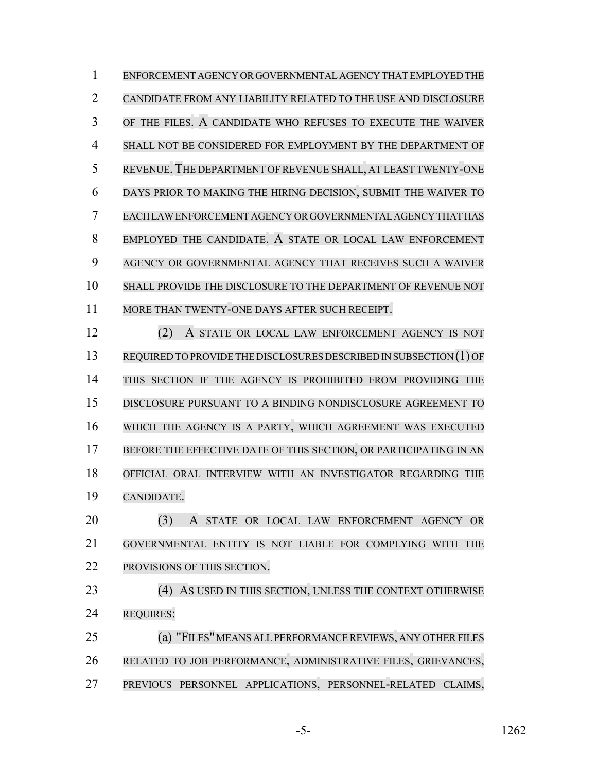ENFORCEMENT AGENCY OR GOVERNMENTAL AGENCY THAT EMPLOYED THE CANDIDATE FROM ANY LIABILITY RELATED TO THE USE AND DISCLOSURE OF THE FILES. A CANDIDATE WHO REFUSES TO EXECUTE THE WAIVER SHALL NOT BE CONSIDERED FOR EMPLOYMENT BY THE DEPARTMENT OF REVENUE.THE DEPARTMENT OF REVENUE SHALL, AT LEAST TWENTY-ONE DAYS PRIOR TO MAKING THE HIRING DECISION, SUBMIT THE WAIVER TO EACH LAW ENFORCEMENT AGENCY OR GOVERNMENTAL AGENCY THAT HAS EMPLOYED THE CANDIDATE. A STATE OR LOCAL LAW ENFORCEMENT AGENCY OR GOVERNMENTAL AGENCY THAT RECEIVES SUCH A WAIVER SHALL PROVIDE THE DISCLOSURE TO THE DEPARTMENT OF REVENUE NOT MORE THAN TWENTY-ONE DAYS AFTER SUCH RECEIPT. (2) A STATE OR LOCAL LAW ENFORCEMENT AGENCY IS NOT REQUIRED TO PROVIDE THE DISCLOSURES DESCRIBED IN SUBSECTION (1) OF THIS SECTION IF THE AGENCY IS PROHIBITED FROM PROVIDING THE DISCLOSURE PURSUANT TO A BINDING NONDISCLOSURE AGREEMENT TO WHICH THE AGENCY IS A PARTY, WHICH AGREEMENT WAS EXECUTED 17 BEFORE THE EFFECTIVE DATE OF THIS SECTION, OR PARTICIPATING IN AN OFFICIAL ORAL INTERVIEW WITH AN INVESTIGATOR REGARDING THE CANDIDATE.

 (3) A STATE OR LOCAL LAW ENFORCEMENT AGENCY OR GOVERNMENTAL ENTITY IS NOT LIABLE FOR COMPLYING WITH THE PROVISIONS OF THIS SECTION.

23 (4) AS USED IN THIS SECTION, UNLESS THE CONTEXT OTHERWISE REQUIRES:

**(a) "FILES" MEANS ALL PERFORMANCE REVIEWS, ANY OTHER FILES**  RELATED TO JOB PERFORMANCE, ADMINISTRATIVE FILES, GRIEVANCES, PREVIOUS PERSONNEL APPLICATIONS, PERSONNEL-RELATED CLAIMS,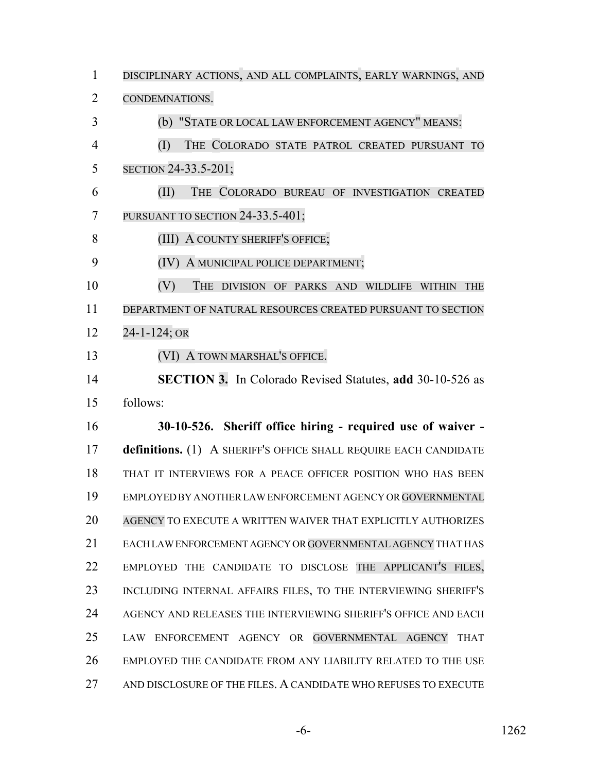DISCIPLINARY ACTIONS, AND ALL COMPLAINTS, EARLY WARNINGS, AND CONDEMNATIONS. (b) "STATE OR LOCAL LAW ENFORCEMENT AGENCY" MEANS: (I) THE COLORADO STATE PATROL CREATED PURSUANT TO SECTION 24-33.5-201; (II) THE COLORADO BUREAU OF INVESTIGATION CREATED 7 PURSUANT TO SECTION 24-33.5-401; 8 (III) A COUNTY SHERIFF'S OFFICE; (IV) A MUNICIPAL POLICE DEPARTMENT; (V) THE DIVISION OF PARKS AND WILDLIFE WITHIN THE DEPARTMENT OF NATURAL RESOURCES CREATED PURSUANT TO SECTION 24-1-124; OR (VI) A TOWN MARSHAL'S OFFICE. **SECTION 3.** In Colorado Revised Statutes, **add** 30-10-526 as follows: **30-10-526. Sheriff office hiring - required use of waiver - definitions.** (1) A SHERIFF'S OFFICE SHALL REQUIRE EACH CANDIDATE THAT IT INTERVIEWS FOR A PEACE OFFICER POSITION WHO HAS BEEN EMPLOYED BY ANOTHER LAW ENFORCEMENT AGENCY OR GOVERNMENTAL AGENCY TO EXECUTE A WRITTEN WAIVER THAT EXPLICITLY AUTHORIZES 21 EACH LAW ENFORCEMENT AGENCY OR GOVERNMENTAL AGENCY THAT HAS EMPLOYED THE CANDIDATE TO DISCLOSE THE APPLICANT'S FILES, INCLUDING INTERNAL AFFAIRS FILES, TO THE INTERVIEWING SHERIFF'S AGENCY AND RELEASES THE INTERVIEWING SHERIFF'S OFFICE AND EACH LAW ENFORCEMENT AGENCY OR GOVERNMENTAL AGENCY THAT EMPLOYED THE CANDIDATE FROM ANY LIABILITY RELATED TO THE USE AND DISCLOSURE OF THE FILES. A CANDIDATE WHO REFUSES TO EXECUTE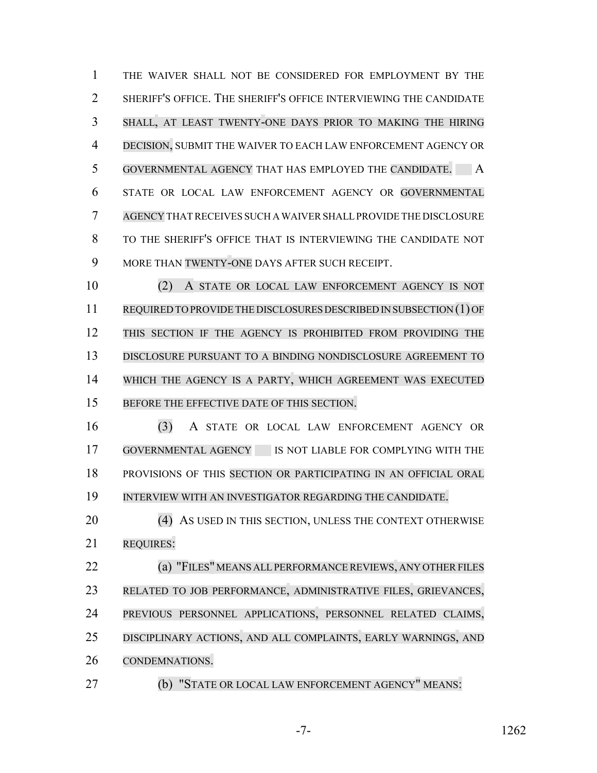THE WAIVER SHALL NOT BE CONSIDERED FOR EMPLOYMENT BY THE 2 SHERIFF'S OFFICE. THE SHERIFF'S OFFICE INTERVIEWING THE CANDIDATE SHALL, AT LEAST TWENTY-ONE DAYS PRIOR TO MAKING THE HIRING DECISION, SUBMIT THE WAIVER TO EACH LAW ENFORCEMENT AGENCY OR 5 GOVERNMENTAL AGENCY THAT HAS EMPLOYED THE CANDIDATE. A STATE OR LOCAL LAW ENFORCEMENT AGENCY OR GOVERNMENTAL AGENCY THAT RECEIVES SUCH A WAIVER SHALL PROVIDE THE DISCLOSURE TO THE SHERIFF'S OFFICE THAT IS INTERVIEWING THE CANDIDATE NOT MORE THAN TWENTY-ONE DAYS AFTER SUCH RECEIPT.

 (2) A STATE OR LOCAL LAW ENFORCEMENT AGENCY IS NOT REQUIRED TO PROVIDE THE DISCLOSURES DESCRIBED IN SUBSECTION (1) OF THIS SECTION IF THE AGENCY IS PROHIBITED FROM PROVIDING THE DISCLOSURE PURSUANT TO A BINDING NONDISCLOSURE AGREEMENT TO WHICH THE AGENCY IS A PARTY, WHICH AGREEMENT WAS EXECUTED BEFORE THE EFFECTIVE DATE OF THIS SECTION.

 (3) A STATE OR LOCAL LAW ENFORCEMENT AGENCY OR GOVERNMENTAL AGENCY IS NOT LIABLE FOR COMPLYING WITH THE PROVISIONS OF THIS SECTION OR PARTICIPATING IN AN OFFICIAL ORAL INTERVIEW WITH AN INVESTIGATOR REGARDING THE CANDIDATE.

20 (4) AS USED IN THIS SECTION, UNLESS THE CONTEXT OTHERWISE REQUIRES:

**(a) "FILES" MEANS ALL PERFORMANCE REVIEWS, ANY OTHER FILES**  RELATED TO JOB PERFORMANCE, ADMINISTRATIVE FILES, GRIEVANCES, PREVIOUS PERSONNEL APPLICATIONS, PERSONNEL RELATED CLAIMS, DISCIPLINARY ACTIONS, AND ALL COMPLAINTS, EARLY WARNINGS, AND CONDEMNATIONS.

(b) "STATE OR LOCAL LAW ENFORCEMENT AGENCY" MEANS: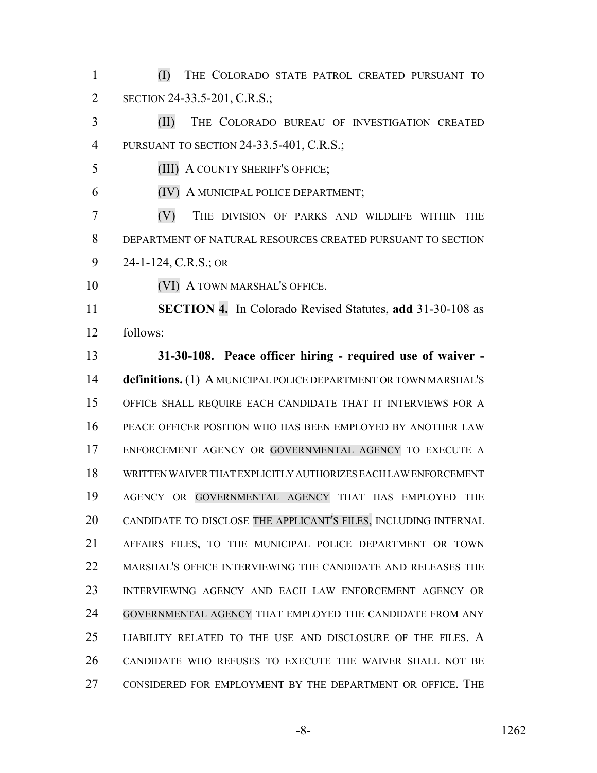(I) THE COLORADO STATE PATROL CREATED PURSUANT TO 2 SECTION 24-33.5-201, C.R.S.;

 (II) THE COLORADO BUREAU OF INVESTIGATION CREATED PURSUANT TO SECTION 24-33.5-401, C.R.S.;

(III) A COUNTY SHERIFF'S OFFICE;

(IV) A MUNICIPAL POLICE DEPARTMENT;

 (V) THE DIVISION OF PARKS AND WILDLIFE WITHIN THE DEPARTMENT OF NATURAL RESOURCES CREATED PURSUANT TO SECTION 24-1-124, C.R.S.; OR

**(VI) A TOWN MARSHAL'S OFFICE.** 

 **SECTION 4.** In Colorado Revised Statutes, **add** 31-30-108 as follows:

 **31-30-108. Peace officer hiring - required use of waiver - definitions.** (1) A MUNICIPAL POLICE DEPARTMENT OR TOWN MARSHAL'S OFFICE SHALL REQUIRE EACH CANDIDATE THAT IT INTERVIEWS FOR A PEACE OFFICER POSITION WHO HAS BEEN EMPLOYED BY ANOTHER LAW ENFORCEMENT AGENCY OR GOVERNMENTAL AGENCY TO EXECUTE A WRITTEN WAIVER THAT EXPLICITLY AUTHORIZES EACH LAW ENFORCEMENT AGENCY OR GOVERNMENTAL AGENCY THAT HAS EMPLOYED THE CANDIDATE TO DISCLOSE THE APPLICANT'S FILES, INCLUDING INTERNAL AFFAIRS FILES, TO THE MUNICIPAL POLICE DEPARTMENT OR TOWN MARSHAL'S OFFICE INTERVIEWING THE CANDIDATE AND RELEASES THE INTERVIEWING AGENCY AND EACH LAW ENFORCEMENT AGENCY OR GOVERNMENTAL AGENCY THAT EMPLOYED THE CANDIDATE FROM ANY LIABILITY RELATED TO THE USE AND DISCLOSURE OF THE FILES. A CANDIDATE WHO REFUSES TO EXECUTE THE WAIVER SHALL NOT BE CONSIDERED FOR EMPLOYMENT BY THE DEPARTMENT OR OFFICE. THE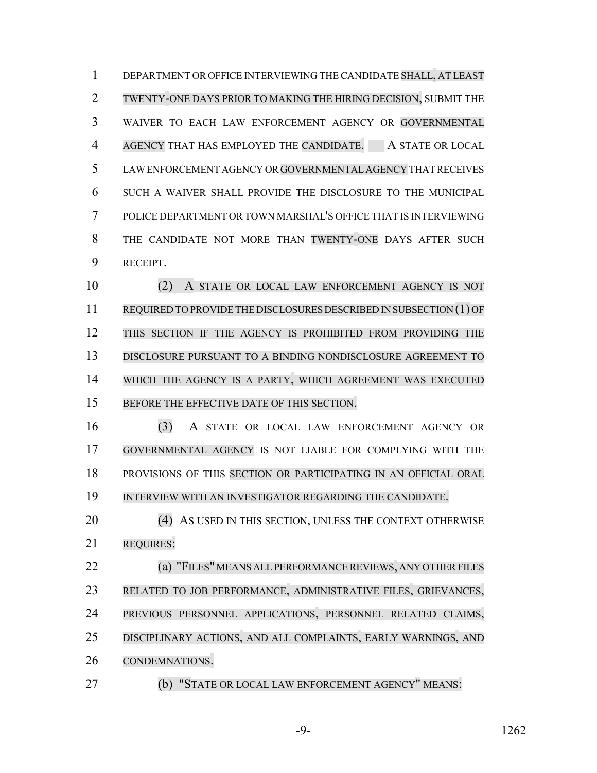DEPARTMENT OR OFFICE INTERVIEWING THE CANDIDATE SHALL, AT LEAST TWENTY-ONE DAYS PRIOR TO MAKING THE HIRING DECISION, SUBMIT THE WAIVER TO EACH LAW ENFORCEMENT AGENCY OR GOVERNMENTAL 4 AGENCY THAT HAS EMPLOYED THE CANDIDATE. A STATE OR LOCAL LAW ENFORCEMENT AGENCY OR GOVERNMENTALAGENCY THAT RECEIVES SUCH A WAIVER SHALL PROVIDE THE DISCLOSURE TO THE MUNICIPAL POLICE DEPARTMENT OR TOWN MARSHAL'S OFFICE THAT IS INTERVIEWING 8 THE CANDIDATE NOT MORE THAN TWENTY-ONE DAYS AFTER SUCH RECEIPT.

 (2) A STATE OR LOCAL LAW ENFORCEMENT AGENCY IS NOT REQUIRED TO PROVIDE THE DISCLOSURES DESCRIBED IN SUBSECTION (1) OF THIS SECTION IF THE AGENCY IS PROHIBITED FROM PROVIDING THE DISCLOSURE PURSUANT TO A BINDING NONDISCLOSURE AGREEMENT TO WHICH THE AGENCY IS A PARTY, WHICH AGREEMENT WAS EXECUTED BEFORE THE EFFECTIVE DATE OF THIS SECTION.

 (3) A STATE OR LOCAL LAW ENFORCEMENT AGENCY OR GOVERNMENTAL AGENCY IS NOT LIABLE FOR COMPLYING WITH THE PROVISIONS OF THIS SECTION OR PARTICIPATING IN AN OFFICIAL ORAL INTERVIEW WITH AN INVESTIGATOR REGARDING THE CANDIDATE.

20 (4) AS USED IN THIS SECTION, UNLESS THE CONTEXT OTHERWISE REQUIRES:

**(a) "FILES" MEANS ALL PERFORMANCE REVIEWS, ANY OTHER FILES**  RELATED TO JOB PERFORMANCE, ADMINISTRATIVE FILES, GRIEVANCES, PREVIOUS PERSONNEL APPLICATIONS, PERSONNEL RELATED CLAIMS, DISCIPLINARY ACTIONS, AND ALL COMPLAINTS, EARLY WARNINGS, AND CONDEMNATIONS.

(b) "STATE OR LOCAL LAW ENFORCEMENT AGENCY" MEANS: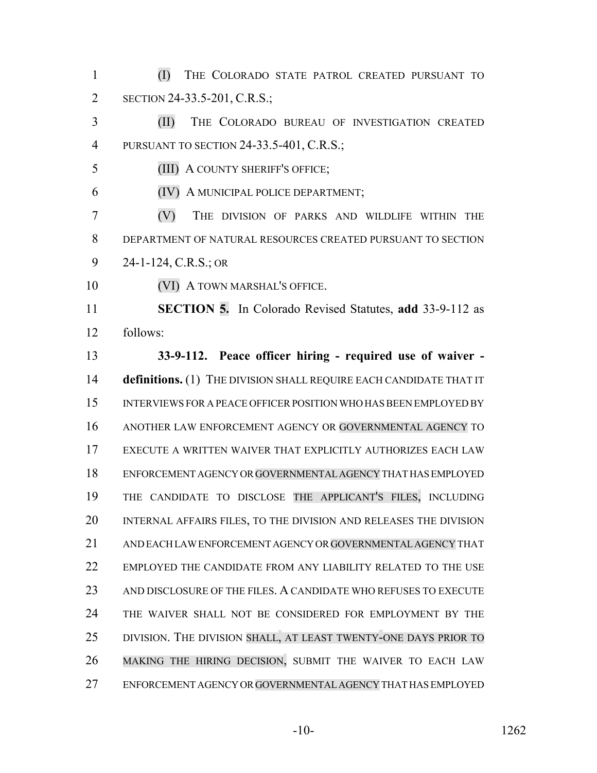(I) THE COLORADO STATE PATROL CREATED PURSUANT TO 2 SECTION 24-33.5-201, C.R.S.;

 (II) THE COLORADO BUREAU OF INVESTIGATION CREATED PURSUANT TO SECTION 24-33.5-401, C.R.S.;

(III) A COUNTY SHERIFF'S OFFICE;

(IV) A MUNICIPAL POLICE DEPARTMENT;

 (V) THE DIVISION OF PARKS AND WILDLIFE WITHIN THE DEPARTMENT OF NATURAL RESOURCES CREATED PURSUANT TO SECTION 24-1-124, C.R.S.; OR

**(VI) A TOWN MARSHAL'S OFFICE.** 

 **SECTION 5.** In Colorado Revised Statutes, **add** 33-9-112 as follows:

 **33-9-112. Peace officer hiring - required use of waiver - definitions.** (1) THE DIVISION SHALL REQUIRE EACH CANDIDATE THAT IT INTERVIEWS FOR A PEACE OFFICER POSITION WHO HAS BEEN EMPLOYED BY ANOTHER LAW ENFORCEMENT AGENCY OR GOVERNMENTAL AGENCY TO EXECUTE A WRITTEN WAIVER THAT EXPLICITLY AUTHORIZES EACH LAW ENFORCEMENT AGENCY OR GOVERNMENTAL AGENCY THAT HAS EMPLOYED THE CANDIDATE TO DISCLOSE THE APPLICANT'S FILES, INCLUDING INTERNAL AFFAIRS FILES, TO THE DIVISION AND RELEASES THE DIVISION AND EACH LAW ENFORCEMENT AGENCY OR GOVERNMENTAL AGENCY THAT EMPLOYED THE CANDIDATE FROM ANY LIABILITY RELATED TO THE USE 23 AND DISCLOSURE OF THE FILES. A CANDIDATE WHO REFUSES TO EXECUTE THE WAIVER SHALL NOT BE CONSIDERED FOR EMPLOYMENT BY THE DIVISION. THE DIVISION SHALL, AT LEAST TWENTY-ONE DAYS PRIOR TO MAKING THE HIRING DECISION, SUBMIT THE WAIVER TO EACH LAW ENFORCEMENT AGENCY OR GOVERNMENTAL AGENCY THAT HAS EMPLOYED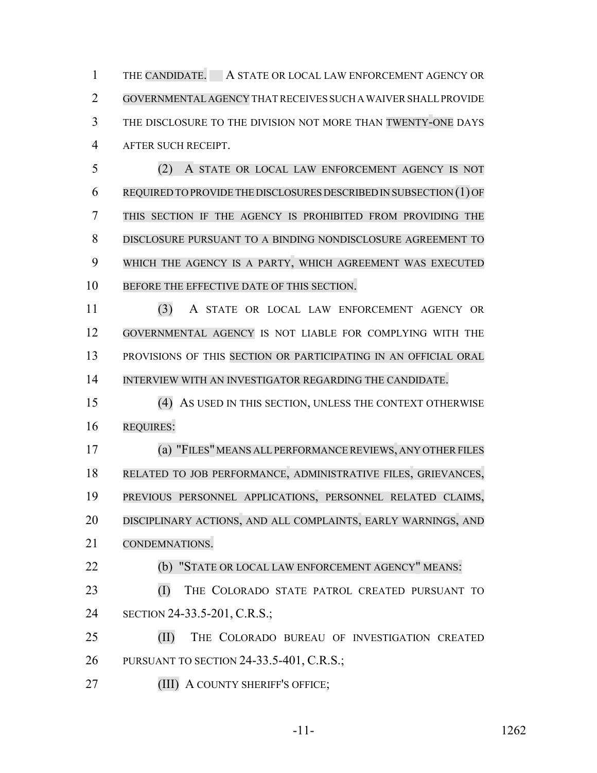1 THE CANDIDATE. A STATE OR LOCAL LAW ENFORCEMENT AGENCY OR GOVERNMENTALAGENCY THAT RECEIVES SUCH A WAIVER SHALL PROVIDE THE DISCLOSURE TO THE DIVISION NOT MORE THAN TWENTY-ONE DAYS AFTER SUCH RECEIPT.

 (2) A STATE OR LOCAL LAW ENFORCEMENT AGENCY IS NOT REQUIRED TO PROVIDE THE DISCLOSURES DESCRIBED IN SUBSECTION (1) OF THIS SECTION IF THE AGENCY IS PROHIBITED FROM PROVIDING THE DISCLOSURE PURSUANT TO A BINDING NONDISCLOSURE AGREEMENT TO WHICH THE AGENCY IS A PARTY, WHICH AGREEMENT WAS EXECUTED 10 BEFORE THE EFFECTIVE DATE OF THIS SECTION.

 (3) A STATE OR LOCAL LAW ENFORCEMENT AGENCY OR GOVERNMENTAL AGENCY IS NOT LIABLE FOR COMPLYING WITH THE PROVISIONS OF THIS SECTION OR PARTICIPATING IN AN OFFICIAL ORAL INTERVIEW WITH AN INVESTIGATOR REGARDING THE CANDIDATE.

 (4) AS USED IN THIS SECTION, UNLESS THE CONTEXT OTHERWISE REQUIRES:

 (a) "FILES" MEANS ALLPERFORMANCEREVIEWS, ANY OTHERFILES RELATED TO JOB PERFORMANCE, ADMINISTRATIVE FILES, GRIEVANCES, PREVIOUS PERSONNEL APPLICATIONS, PERSONNEL RELATED CLAIMS, DISCIPLINARY ACTIONS, AND ALL COMPLAINTS, EARLY WARNINGS, AND CONDEMNATIONS.

(b) "STATE OR LOCAL LAW ENFORCEMENT AGENCY" MEANS:

 (I) THE COLORADO STATE PATROL CREATED PURSUANT TO SECTION 24-33.5-201, C.R.S.;

 (II) THE COLORADO BUREAU OF INVESTIGATION CREATED PURSUANT TO SECTION 24-33.5-401, C.R.S.;

**(III) A COUNTY SHERIFF'S OFFICE;**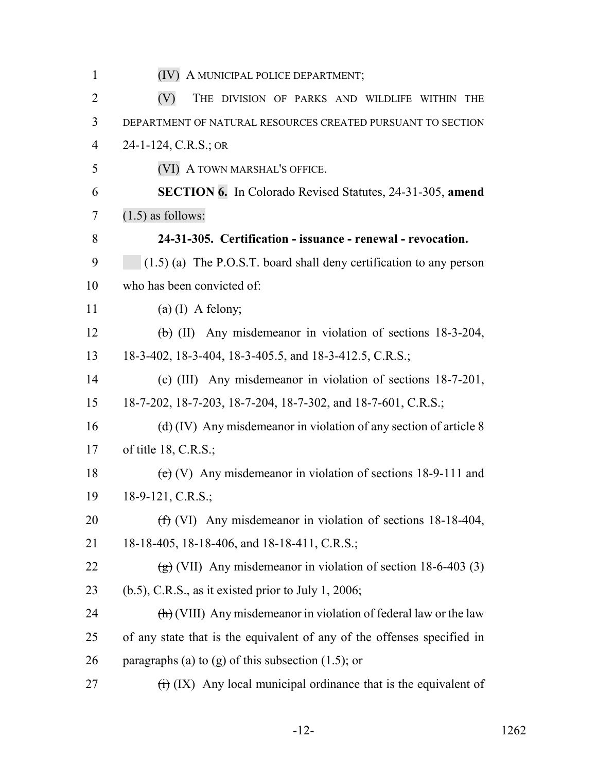| $\mathbf{1}$   | (IV) A MUNICIPAL POLICE DEPARTMENT;                                                      |
|----------------|------------------------------------------------------------------------------------------|
| $\overline{2}$ | (V)<br>THE DIVISION OF PARKS AND WILDLIFE WITHIN THE                                     |
| 3              | DEPARTMENT OF NATURAL RESOURCES CREATED PURSUANT TO SECTION                              |
| $\overline{4}$ | 24-1-124, C.R.S.; OR                                                                     |
| 5              | (VI) A TOWN MARSHAL'S OFFICE.                                                            |
| 6              | <b>SECTION 6.</b> In Colorado Revised Statutes, 24-31-305, amend                         |
| 7              | $(1.5)$ as follows:                                                                      |
| 8              | 24-31-305. Certification - issuance - renewal - revocation.                              |
| 9              | $(1.5)$ (a) The P.O.S.T. board shall deny certification to any person                    |
| 10             | who has been convicted of:                                                               |
| 11             | $(a)$ (I) A felony;                                                                      |
| 12             | $\overline{(b)}$ (II) Any misdemeanor in violation of sections 18-3-204,                 |
| 13             | 18-3-402, 18-3-404, 18-3-405.5, and 18-3-412.5, C.R.S.;                                  |
| 14             | (c) (III) Any misdemeanor in violation of sections $18-7-201$ ,                          |
| 15             | 18-7-202, 18-7-203, 18-7-204, 18-7-302, and 18-7-601, C.R.S.;                            |
| 16             | $\left(\frac{d}{d}\right)$ (IV) Any misdemeanor in violation of any section of article 8 |
| 17             | of title $18, C.R.S.;$                                                                   |
| 18             | (e) (V) Any misdemeanor in violation of sections $18-9-111$ and                          |
| 19             | $18-9-121, C.R.S.;$                                                                      |
| 20             | $(f)$ (VI) Any misdemeanor in violation of sections 18-18-404,                           |
| 21             | 18-18-405, 18-18-406, and 18-18-411, C.R.S.;                                             |
| 22             | $\left(\frac{1}{2}\right)$ (VII) Any misdemeanor in violation of section 18-6-403 (3)    |
| 23             | $(b.5)$ , C.R.S., as it existed prior to July 1, 2006;                                   |
| 24             | $\left(\frac{h}{h}\right)$ (VIII) Any misdemeanor in violation of federal law or the law |
| 25             | of any state that is the equivalent of any of the offenses specified in                  |
| 26             | paragraphs (a) to (g) of this subsection $(1.5)$ ; or                                    |
| 27             | $\overrightarrow{(t)}$ (IX) Any local municipal ordinance that is the equivalent of      |